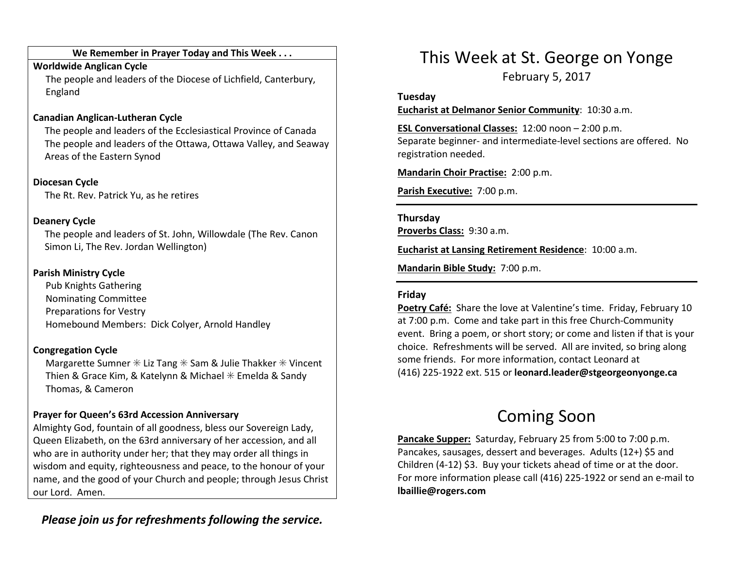#### We Remember in Prayer Today and This Week . . .

#### Worldwide Anglican Cycle

 The people and leaders of the Diocese of Lichfield, Canterbury, England

### Canadian Anglican-Lutheran Cycle

The people and leaders of the Ecclesiastical Province of Canada The people and leaders of the Ottawa, Ottawa Valley, and Seaway Areas of the Eastern Synod

Diocesan Cycle The Rt. Rev. Patrick Yu, as he retires

### Deanery Cycle

The people and leaders of St. John, Willowdale (The Rev. Canon Simon Li, The Rev. Jordan Wellington)

### Parish Ministry Cycle

Pub Knights Gathering Nominating Committee Preparations for Vestry Homebound Members: Dick Colyer, Arnold Handley

# Congregation Cycle

Margarette Sumner  $*$  Liz Tang  $*$  Sam & Julie Thakker  $*$  Vincent Thien & Grace Kim, & Katelynn & Michael  $*$  Emelda & Sandy Thomas, & Cameron

# Prayer for Queen's 63rd Accession Anniversary

Almighty God, fountain of all goodness, bless our Sovereign Lady, Queen Elizabeth, on the 63rd anniversary of her accession, and all who are in authority under her; that they may order all things in wisdom and equity, righteousness and peace, to the honour of your name, and the good of your Church and people; through Jesus Christ our Lord. Amen.

# Please join us for refreshments following the service.

# This Week at St. George on Yonge

February 5, 2017

#### Tuesday

Eucharist at Delmanor Senior Community: 10:30 a.m.

ESL Conversational Classes: 12:00 noon – 2:00 p.m. Separate beginner- and intermediate-level sections are offered. No registration needed.

Mandarin Choir Practise: 2:00 p.m.

Parish Executive: 7:00 p.m.

### Thursday

Proverbs Class: 9:30 a.m.

Eucharist at Lansing Retirement Residence: 10:00 a.m.

Mandarin Bible Study: 7:00 p.m.

### Friday

Poetry Café: Share the love at Valentine's time. Friday, February 10 at 7:00 p.m. Come and take part in this free Church-Community event. Bring a poem, or short story; or come and listen if that is your choice. Refreshments will be served. All are invited, so bring along some friends. For more information, contact Leonard at (416) 225-1922 ext. 515 or leonard.leader@stgeorgeonyonge.ca

# Coming Soon

Pancake Supper: Saturday, February 25 from 5:00 to 7:00 p.m. Pancakes, sausages, dessert and beverages. Adults (12+) \$5 and Children (4-12) \$3. Buy your tickets ahead of time or at the door. For more information please call (416) 225-1922 or send an e-mail to lbaillie@rogers.com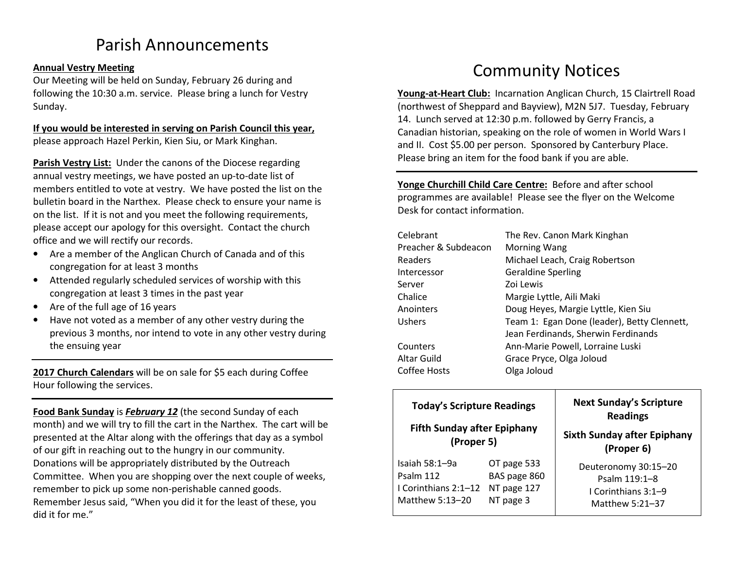# Parish Announcements

#### Annual Vestry Meeting

Our Meeting will be held on Sunday, February 26 during and following the 10:30 a.m. service. Please bring a lunch for Vestry Sunday.

#### If you would be interested in serving on Parish Council this year,please approach Hazel Perkin, Kien Siu, or Mark Kinghan.

Parish Vestry List: Under the canons of the Diocese regarding annual vestry meetings, we have posted an up-to-date list of members entitled to vote at vestry. We have posted the list on the bulletin board in the Narthex. Please check to ensure your name is on the list. If it is not and you meet the following requirements, please accept our apology for this oversight. Contact the church office and we will rectify our records.

- Are a member of the Anglican Church of Canada and of this congregation for at least 3 months
- Attended regularly scheduled services of worship with this congregation at least 3 times in the past year
- Are of the full age of 16 years
- • Have not voted as a member of any other vestry during the previous 3 months, nor intend to vote in any other vestry during the ensuing year

2017 Church Calendars will be on sale for \$5 each during Coffee Hour following the services.

Food Bank Sunday is February 12 (the second Sunday of each month) and we will try to fill the cart in the Narthex. The cart will be presented at the Altar along with the offerings that day as a symbol of our gift in reaching out to the hungry in our community. Donations will be appropriately distributed by the Outreach Committee. When you are shopping over the next couple of weeks, remember to pick up some non-perishable canned goods. Remember Jesus said, "When you did it for the least of these, you did it for me."

# Community Notices

Young-at-Heart Club: Incarnation Anglican Church, 15 Clairtrell Road (northwest of Sheppard and Bayview), M2N 5J7. Tuesday, February 14. Lunch served at 12:30 p.m. followed by Gerry Francis, a Canadian historian, speaking on the role of women in World Wars I and II. Cost \$5.00 per person. Sponsored by Canterbury Place. Please bring an item for the food bank if you are able.

Yonge Churchill Child Care Centre: Before and after school programmes are available! Please see the flyer on the Welcome Desk for contact information.

| Celebrant            | The Rev. Canon Mark Kinghan                 |  |
|----------------------|---------------------------------------------|--|
| Preacher & Subdeacon | <b>Morning Wang</b>                         |  |
| Readers              | Michael Leach, Craig Robertson              |  |
| Intercessor          | <b>Geraldine Sperling</b>                   |  |
| Server               | Zoi Lewis                                   |  |
| Chalice              | Margie Lyttle, Aili Maki                    |  |
| Anointers            | Doug Heyes, Margie Lyttle, Kien Siu         |  |
| Ushers               | Team 1: Egan Done (leader), Betty Clennett, |  |
|                      | Jean Ferdinands, Sherwin Ferdinands         |  |
| Counters             | Ann-Marie Powell, Lorraine Luski            |  |
| Altar Guild          | Grace Pryce, Olga Joloud                    |  |
| Coffee Hosts         | Olga Joloud                                 |  |

| <b>Today's Scripture Readings</b><br><b>Fifth Sunday after Epiphany</b><br>(Proper 5) |              | <b>Next Sunday's Scripture</b><br><b>Readings</b><br><b>Sixth Sunday after Epiphany</b><br>(Proper 6) |
|---------------------------------------------------------------------------------------|--------------|-------------------------------------------------------------------------------------------------------|
| Isaiah 58:1–9a                                                                        | OT page 533  | Deuteronomy 30:15-20                                                                                  |
| Psalm 112                                                                             | BAS page 860 | Psalm 119:1-8                                                                                         |
| I Corinthians 2:1-12                                                                  | NT page 127  | I Corinthians 3:1–9                                                                                   |
| Matthew 5:13-20                                                                       | NT page 3    | Matthew 5:21-37                                                                                       |